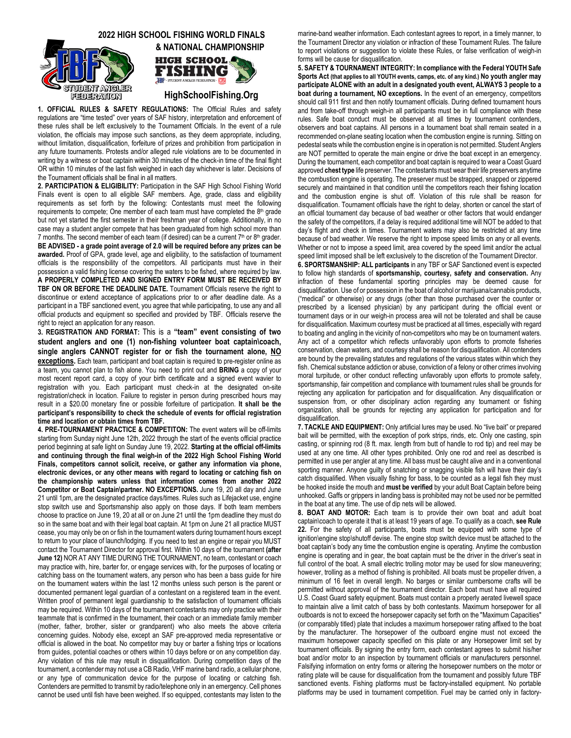## **2022 HIGH SCHOOL FISHING WORLD FINALS**





**HighSchoolFishing.Org**

**1. OFFICIAL RULES & SAFETY REGULATIONS:** The Official Rules and safety regulations are "time tested" over years of SAF history, interpretation and enforcement of these rules shall be left exclusively to the Tournament Officials. In the event of a rule violation, the officials may impose such sanctions, as they deem appropriate, including, without limitation, disqualification, forfeiture of prizes and prohibition from participation in any future tournaments. Protests and/or alleged rule violations are to be documented in writing by a witness or boat captain within 30 minutes of the check-in time of the final flight OR within 10 minutes of the last fish weighed in each day whichever is later. Decisions of the Tournament officials shall be final in all matters.

**2. PARTICIPATION & ELIGIBILITY:** Participation in the SAF High School Fishing World Finals event is open to all eligible SAF members. Age, grade, class and eligibility requirements as set forth by the following: Contestants must meet the following requirements to compete; One member of each team must have completed the 8th grade but not yet started the first semester in their freshman year of college. Additionally, in no case may a student angler compete that has been graduated from high school more than 7 months. The second member of each team (if desired) can be a current  $7<sup>th</sup>$  or  $8<sup>th</sup>$  grader. **BE ADVISED - a grade point average of 2.0 will be required before any prizes can be awarded.** Proof of GPA, grade level, age and eligibility, to the satisfaction of tournament officials is the responsibility of the competitors. All participants must have in their possession a valid fishing license covering the waters to be fished, where required by law. **A PROPERLY COMPLETED AND SIGNED ENTRY FORM MUST BE RECEIVED BY TBF ON OR BEFORE THE DEADLINE DATE.** Tournament Officials reserve the right to discontinue or extend acceptance of applications prior to or after deadline date. As a participant in a TBF sanctioned event, you agree that while participating, to use any and all official products and equipment so specified and provided by TBF. Officials reserve the right to reject an application for any reason.

**3. REGISTRATION AND FORMAT:** This is a **"team" event consisting of two student anglers and one (1) non-fishing volunteer boat captain\coach, single anglers CANNOT register for or fish the tournament alone, NO exceptions.** Each team, participant and boat captain is required to pre-register online as a team, you cannot plan to fish alone. You need to print out and **BRING** a copy of your most recent report card, a copy of your birth certificate and a signed event wavier to registration with you. Each participant must check-in at the designated on-site registration\check in location. Failure to register in person during prescribed hours may result in a \$20.00 monetary fine or possible forfeiture of participation. **It shall be the participant's responsibility to check the schedule of events for official registration time and location or obtain times from TBF.**

**4. PRE-TOURNAMENT PRACTICE & COMPETITON:** The event waters will be off-limits starting from Sunday night June 12th, 2022 through the start of the events official practice period beginning at safe light on Sunday June 19, 2022. **Starting at the official off-limits and continuing through the final weigh-in of the 2022 High School Fishing World Finals, competitors cannot solicit, receive, or gather any information via phone, electronic devices, or any other means with regard to locating or catching fish on the championship waters unless that information comes from another 2022 Competitor or Boat Captain\partner. NO EXCEPTIONS.** June 19, 20 all day and June 21 until 1pm, are the designated practice days/times. Rules such as Lifejacket use, engine stop switch use and Sportsmanship also apply on those days. If both team members choose to practice on June 19, 20 at all or on June 21 until the 1pm deadline they must do so in the same boat and with their legal boat captain. At 1pm on June 21 all practice MUST cease, you may only be on or fish in the tournament waters during tournament hours except to return to your place of launch/lodging*.* If you need to test an engine or repair you MUST contact the Tournament Director for approval first*.* Within 10 days of the tournament **(after June 12)** NOR AT ANY TIME DURING THE TOURNAMENT, no team, contestant or coach may practice with, hire, barter for, or engage services with, for the purposes of locating or catching bass on the tournament waters, any person who has been a bass guide for hire on the tournament waters within the last 12 months unless such person is the parent or documented permanent legal guardian of a contestant on a registered team in the event. Written proof of permanent legal guardianship to the satisfaction of tournament officials may be required. Within 10 days of the tournament contestants may only practice with their teammate that is confirmed in the tournament, their coach or an immediate family member (mother, father, brother, sister or grandparent) who also meets the above criteria concerning guides. Nobody else, except an SAF pre-approved media representative or official is allowed in the boat. No competitor may buy or barter a fishing trips or locations from guides, potential coaches or others within 10 days before or on any competition day. Any violation of this rule may result in disqualification. During competition days of the tournament, a contender may not use a CB Radio, VHF marine band radio, a cellular phone, or any type of communication device for the purpose of locating or catching fish. Contenders are permitted to transmit by radio/telephone only in an emergency. Cell phones cannot be used until fish have been weighed. If so equipped, contestants may listen to the

marine-band weather information. Each contestant agrees to report, in a timely manner, to the Tournament Director any violation or infraction of these Tournament Rules. The failure to report violations or suggestion to violate these Rules, or false verification of weigh-in forms will be cause for disqualification.

**5. SAFETY & TOURNAMENT INTEGRITY: In compliance with the Federal YOUTH Safe Sports Act (that applies to all YOUTH events, camps, etc. of any kind.) No youth angler may participate ALONE with an adult in a designated youth event, ALWAYS 3 people to a boat during a tournament, NO exceptions.** In the event of an emergency, competitors should call 911 first and then notify tournament officials. During defined tournament hours and from take-off through weigh-in all participants must be in full compliance with these rules. Safe boat conduct must be observed at all times by tournament contenders, observers and boat captains. All persons in a tournament boat shall remain seated in a recommended on-plane seating location when the combustion engine is running. Sitting on pedestal seats while the combustion engine is in operation is not permitted. Student Anglers are NOT permitted to operate the main engine or drive the boat except in an emergency. During the tournament, each competitor and boat captain is required to wear a Coast Guard approved **chest type** life preserver. The contestants must wear their life preservers anytime the combustion engine is operating. The preserver must be strapped, snapped or zippered securely and maintained in that condition until the competitors reach their fishing location and the combustion engine is shut off. Violation of this rule shall be reason for disqualification. Tournament officials have the right to delay, shorten or cancel the start of an official tournament day because of bad weather or other factors that would endanger the safety of the competitors, if a delay is required additional time will NOT be added to that day's flight and check in times. Tournament waters may also be restricted at any time because of bad weather. We reserve the right to impose speed limits on any or all events. Whether or not to impose a speed limit, area covered by the speed limit and/or the actual speed limit imposed shall be left exclusively to the discretion of the Tournament Director.

**6. SPORTSMANSHIP: ALL participants** in any TBF or SAF Sanctioned event is expected to follow high standards of **sportsmanship, courtesy, safety and conservation.** Any infraction of these fundamental sporting principles may be deemed cause for disqualification. Use of or possession in the boat of alcohol or marijuana/cannabis products, ("medical" or otherwise) or any drugs (other than those purchased over the counter or prescribed by a licensed physician) by any participant during the official event or tournament days or in our weigh-in process area will not be tolerated and shall be cause for disqualification. Maximum courtesy must be practiced at all times, especially with regard to boating and angling in the vicinity of non-competitors who may be on tournament waters. Any act of a competitor which reflects unfavorably upon efforts to promote fisheries conservation, clean waters, and courtesy shall be reason for disqualification. All contenders are bound by the prevailing statutes and regulations of the various states within which they fish. Chemical substance addiction or abuse, conviction of a felony or other crimes involving moral turpitude, or other conduct reflecting unfavorably upon efforts to promote safety, sportsmanship, fair competition and compliance with tournament rules shall be grounds for rejecting any application for participation and for disqualification. Any disqualification or suspension from, or other disciplinary action regarding any tournament or fishing organization, shall be grounds for rejecting any application for participation and for disqualification.

**7. TACKLE AND EQUIPMENT:** Only artificial lures may be used. No "live bait" or prepared bait will be permitted, with the exception of pork strips, rinds, etc. Only one casting, spin casting, or spinning rod (8 ft. max. length from butt of handle to rod tip) and reel may be used at any one time. All other types prohibited. Only one rod and reel as described is permitted in use per angler at any time. All bass must be caught alive and in a conventional sporting manner. Anyone guilty of snatching or snagging visible fish will have their day's catch disqualified. When visually fishing for bass, to be counted as a legal fish they must be hooked inside the mouth and **must be verified** by your adult Boat Captain before being unhooked. Gaffs or grippers in landing bass is prohibited may not be used nor be permitted in the boat at any time. The use of dip nets will be allowed.

**8. BOAT AND MOTOR:** Each team is to provide their own boat and adult boat captain\coach to operate it that is at least 19 years of age. To qualify as a coach, **see Rule 22.** For the safety of all participants, boats must be equipped with some type of ignition\engine stop\shutoff devise. The engine stop switch device must be attached to the boat captain's body any time the combustion engine is operating. Anytime the combustion engine is operating and in gear, the boat captain must be the driver in the driver's seat in full control of the boat. A small electric trolling motor may be used for slow maneuvering; however, trolling as a method of fishing is prohibited. All boats must be propeller driven, a minimum of 16 feet in overall length. No barges or similar cumbersome crafts will be permitted without approval of the tournament director. Each boat must have all required U.S. Coast Guard safety equipment. Boats must contain a properly aerated livewell space to maintain alive a limit catch of bass by both contestants. Maximum horsepower for all outboards is not to exceed the horsepower capacity set forth on the "Maximum Capacities" (or comparably titled) plate that includes a maximum horsepower rating affixed to the boat by the manufacturer. The horsepower of the outboard engine must not exceed the maximum horsepower capacity specified on this plate or any Horsepower limit set by tournament officials. By signing the entry form, each contestant agrees to submit his/her boat and/or motor to an inspection by tournament officials or manufacturers personnel. Falsifying information on entry forms or altering the horsepower numbers on the motor or rating plate will be cause for disqualification from the tournament and possibly future TBF sanctioned events. Fishing platforms must be factory-installed equipment. No portable platforms may be used in tournament competition. Fuel may be carried only in factory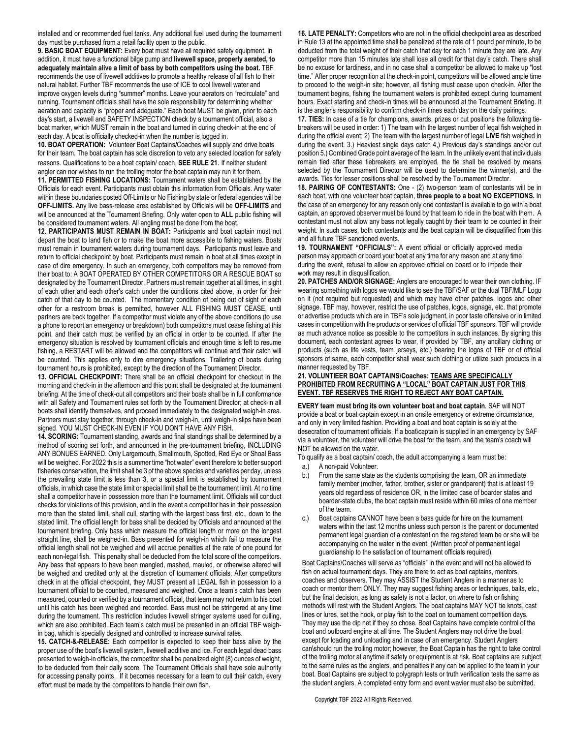installed and or recommended fuel tanks. Any additional fuel used during the tournament day must be purchased from a retail facility open to the public.

**9. BASIC BOAT EQUIPMENT:** Every boat must have all required safety equipment. In addition, it must have a functional bilge pump and **livewell space, properly aerated, to adequately maintain alive a limit of bass by both competitors using the boat.** TBF recommends the use of livewell additives to promote a healthy release of all fish to their natural habitat. Further TBF recommends the use of ICE to cool livewell water and improve oxygen levels during "summer" months. Leave your aerators on "recirculate" and running. Tournament officials shall have the sole responsibility for determining whether aeration and capacity is "proper and adequate." Each boat MUST be given, prior to each day's start, a livewell and SAFETY INSPECTION check by a tournament official, also a boat marker, which MUST remain in the boat and turned in during check-in at the end of each day. A boat is officially checked-in when the number is logged in.

**10. BOAT OPERATION:** Volunteer Boat Captains**/**Coaches will supply and drive boats for their team. The boat captain has sole discretion to veto any selected location for safety reasons. Qualifications to be a boat captain/ coach, **SEE RULE 21**. If neither student angler can nor wishes to run the trolling motor the boat captain may run it for them.

**11. PERMITTED FISHING LOCATIONS:** Tournament waters shall be established by the Officials for each event. Participants must obtain this information from Officials. Any water within these boundaries posted Off-Limits or No Fishing by state or federal agencies will be **OFF-LIMITS.** Any live bass-release area established by Officials will be **OFF-LIMITS** and will be announced at the Tournament Briefing. Only water open to **ALL** public fishing will be considered tournament waters. All angling must be done from the boat.

**12. PARTICIPANTS MUST REMAIN IN BOAT:** Participants and boat captain must not depart the boat to land fish or to make the boat more accessible to fishing waters. Boats must remain in tournament waters during tournament days. Participants must leave and return to official checkpoint by boat. Participants must remain in boat at all times except in case of dire emergency. In such an emergency, both competitors may be removed from their boat to: A BOAT OPERATED BY OTHER COMPETITORS OR A RESCUE BOAT so designated by the Tournament Director. Partners must remain together at all times, in sight of each other and each other's catch under the conditions cited above, in order for their catch of that day to be counted. The momentary condition of being out of sight of each other for a restroom break is permitted, however ALL FISHING MUST CEASE, until partners are back together. If a competitor must violate any of the above conditions (to use a phone to report an emergency or breakdown) both competitors must cease fishing at this point, and their catch must be verified by an official in order to be counted. If after the emergency situation is resolved by tournament officials and enough time is left to resume fishing, a RESTART will be allowed and the competitors will continue and their catch will be counted. This applies only to dire emergency situations. Trailering of boats during tournament hours is prohibited, except by the direction of the Tournament Director.

**13. OFFICIAL CHECKPOINT:** There shall be an official checkpoint for checkout in the morning and check-in in the afternoon and this point shall be designated at the tournament briefing. At the time of check-out all competitors and their boats shall be in full conformance with all Safety and Tournament rules set forth by the Tournament Director; at check-in all boats shall identify themselves, and proceed immediately to the designated weigh-in area. Partners must stay together, through check-in and weigh-in, until weigh-in slips have been signed. YOU MUST CHECK-IN EVEN IF YOU DON'T HAVE ANY FISH.

**14. SCORING:** Tournament standing, awards and final standings shall be determined by a method of scoring set forth, and announced in the pre-tournament briefing, INCLUDING ANY BONUES EARNED. Only Largemouth, Smallmouth, Spotted, Red Eye or Shoal Bass will be weighed. For 2022 this is a summer time "hot water" event therefore to better support fisheries conservation, the limit shall be 3 of the above species and varieties per day, unless the prevailing state limit is less than 3, or a special limit is established by tournament officials, in which case the state limit or special limit shall be the tournament limit. At no time shall a competitor have in possession more than the tournament limit. Officials will conduct checks for violations of this provision, and in the event a competitor has in their possession more than the stated limit, shall cull, starting with the largest bass first, etc., down to the stated limit. The official length for bass shall be decided by Officials and announced at the tournament briefing. Only bass which measure the official length or more on the longest straight line, shall be weighed-in. Bass presented for weigh-in which fail to measure the official length shall not be weighed and will accrue penalties at the rate of one pound for each non-legal fish. This penalty shall be deducted from the total score of the competitors. Any bass that appears to have been mangled, mashed, mauled, or otherwise altered will be weighed and credited only at the discretion of tournament officials. After competitors check in at the official checkpoint, they MUST present all LEGAL fish in possession to a tournament official to be counted, measured and weighed. Once a team's catch has been measured, counted or verified by a tournament official, that team may not return to his boat until his catch has been weighed and recorded. Bass must not be stringered at any time during the tournament. This restriction includes livewell stringer systems used for culling, which are also prohibited. Each team's catch must be presented in an official TBF weighin bag, which is specially designed and controlled to increase survival rates.

**15. CATCH-&-RELEASE:** Each competitor is expected to keep their bass alive by the proper use of the boat's livewell system, livewell additive and ice. For each legal dead bass presented to weigh-in officials, the competitor shall be penalized eight (8) ounces of weight, to be deducted from their daily score. The Tournament Officials shall have sole authority for accessing penalty points. If it becomes necessary for a team to cull their catch, every effort must be made by the competitors to handle their own fish.

**16. LATE PENALTY:** Competitors who are not in the official checkpoint area as described in Rule 13 at the appointed time shall be penalized at the rate of 1 pound per minute, to be deducted from the total weight of their catch that day for each 1 minute they are late. Any competitor more than 15 minutes late shall lose all credit for that day's catch. There shall be no excuse for tardiness, and in no case shall a competitor be allowed to make up "lost time." After proper recognition at the check-in point, competitors will be allowed ample time to proceed to the weigh-in site; however, all fishing must cease upon check-in. After the tournament begins, fishing the tournament waters is prohibited except during tournament hours. Exact starting and check-in times will be announced at the Tournament Briefing. It is the angler's responsibility to confirm check-in times each day on the daily pairings.

**17. TIES:** In case of a tie for champions, awards, prizes or cut positions the following tiebreakers will be used in order: 1) The team with the largest number of legal fish weighed in during the official event: 2) The team with the largest number of legal **LIVE** fish weighed in during the event. 3.) Heaviest single days catch 4,) Previous day's standings and/or cut position 5.) Combined Grade point average of the team. In the unlikely event that individuals remain tied after these tiebreakers are employed, the tie shall be resolved by means selected by the Tournament Director will be used to determine the winner(s), and the awards. Ties for lesser positions shall be resolved by the Tournament Director.

**18. PAIRING OF CONTESTANTS:** One - (2) two-person team of contestants will be in each boat, with one volunteer boat captain, **three people to a boat NO EXCEPTIONS.** In the case of an emergency for any reason only one contestant is available to go with a boat captain, an approved observer must be found by that team to ride in the boat with them. A contestant must not allow any bass not legally caught by their team to be counted in their weight. In such cases, both contestants and the boat captain will be disqualified from this and all future TBF sanctioned events.

**19. TOURNAMENT "OFFICIALS":** A event official or officially approved media person may approach or board your boat at any time for any reason and at any time during the event, refusal to allow an approved official on board or to impede their work may result in disqualification.

**20. PATCHES AND/OR SIGNAGE:** Anglers are encouraged to wear their own clothing. IF wearing something with logos we would like to see the TBF/SAF or the dual TBF/MLF Logo on it (not required but requested) and which may have other patches, logos and other signage. TBF may, however, restrict the use of patches, logos, signage, etc. that promote or advertise products which are in TBF's sole judgment, in poor taste offensive or in limited cases in competition with the products or services of official TBF sponsors. TBF will provide as much advance notice as possible to the competitors in such instances. By signing this document, each contestant agrees to wear, if provided by TBF, any ancillary clothing or products (such as life vests, team jerseys, etc.) bearing the logos of TBF or of official sponsors of same, each competitor shall wear such clothing or utilize such products in a manner requested by TBF.

## **21. VOLUNTIEER BOAT CAPTAINS\Coaches: TEAMS ARE SPECIFICALLY PROHIBITED FROM RECRUITING A "LOCAL" BOAT CAPTAIN JUST FOR THIS EVENT. TBF RESERVES THE RIGHT TO REJECT ANY BOAT CAPTAIN.**

**EVERY team must bring its own volunteer boat and boat captain**. SAF will NOT provide a boat or boat captain except in an onsite emergency or extreme circumstance, and only in very limited fashion. Providing a boat and boat captain is solely at the desecration of tournament officials. If a boat\captain is supplied in an emergency by SAF via a volunteer, the volunteer will drive the boat for the team, and the team's coach will NOT be allowed on the water.

To qualify as a boat captain/ coach, the adult accompanying a team must be:

- a.) A non-paid Volunteer.
- b.) From the same state as the students comprising the team, OR an immediate family member (mother, father, brother, sister or grandparent) that is at least 19 years old regardless of residence OR, in the limited case of boarder states and boarder-state clubs, the boat captain must reside within 60 miles of one member of the team.
- Boat captains CANNOT have been a bass guide for hire on the tournament waters within the last 12 months unless such person is the parent or documented permanent legal guardian of a contestant on the registered team he or she will be accompanying on the water in the event. (Written proof of permanent legal guardianship to the satisfaction of tournament officials required).

Boat Captains\Coaches will serve as "officials" in the event and will not be allowed to fish on actual tournament days. They are there to act as boat captains, mentors, coaches and observers. They may ASSIST the Student Anglers in a manner as to coach or mentor them ONLY. They may suggest fishing areas or techniques, baits, etc., but the final decision, as long as safety is not a factor, on where to fish or fishing methods will rest with the Student Anglers. The boat captains MAY NOT tie knots, cast lines or lures, set the hook, or play fish to the boat on tournament competition days. They may use the dip net if they so chose. Boat Captains have complete control of the boat and outboard engine at all time. The Student Anglers may not drive the boat, except for loading and unloading and in case of an emergency. Student Anglers can\should run the trolling motor; however, the Boat Captain has the right to take control of the trolling motor at anytime if safety or equipment is at risk. Boat captains are subject to the same rules as the anglers, and penalties if any can be applied to the team in your boat. Boat Captains are subject to polygraph tests or truth verification tests the same as the student anglers. A completed entry form and event wavier must also be submitted.

Copyright TBF 2022 All Rights Reserved.